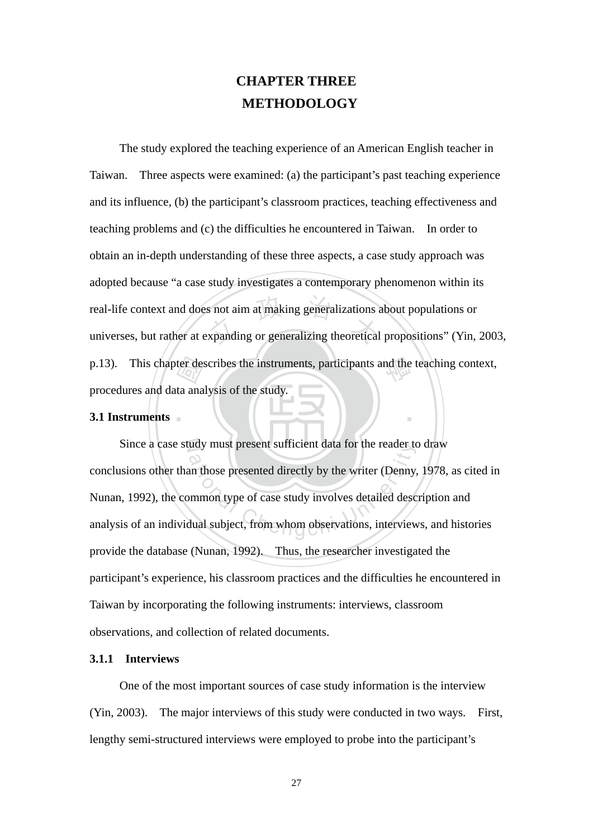# **CHAPTER THREE METHODOLOGY**

p.13). This chapter describes the instruments, participants and the teaching context, procedures and data analysis of the study.<br>3.1 Instruments real-life context and does not aim at making generalizations about populations or<br>universes, but rather at expanding or generalizing theoretical propositions" (Yin, 2003, The study explored the teaching experience of an American English teacher in Taiwan. Three aspects were examined: (a) the participant's past teaching experience and its influence, (b) the participant's classroom practices, teaching effectiveness and teaching problems and (c) the difficulties he encountered in Taiwan. In order to obtain an in-depth understanding of these three aspects, a case study approach was adopted because "a case study investigates a contemporary phenomenon within its real-life context and does not aim at making generalizations about populations or procedures and data analysis of the study.

## ‧**3.1 Instruments**

Since a case study must present sufficient data for the reader to draw ation whose present sufficient data for the reader to<br>an those presented directly by the writer (Denny,<br>mmon type of case study involves detailed desc<br>dual subject, from whom observations, interview conclusions other than those presented directly by the writer (Denny, 1978, as cited in Nunan, 1992), the common type of case study involves detailed description and analysis of an individual subject, from whom observations, interviews, and histories provide the database (Nunan, 1992). Thus, the researcher investigated the participant's experience, his classroom practices and the difficulties he encountered in Taiwan by incorporating the following instruments: interviews, classroom observations, and collection of related documents.

‧

# **3.1.1 Interviews**

One of the most important sources of case study information is the interview (Yin, 2003). The major interviews of this study were conducted in two ways. First, lengthy semi-structured interviews were employed to probe into the participant's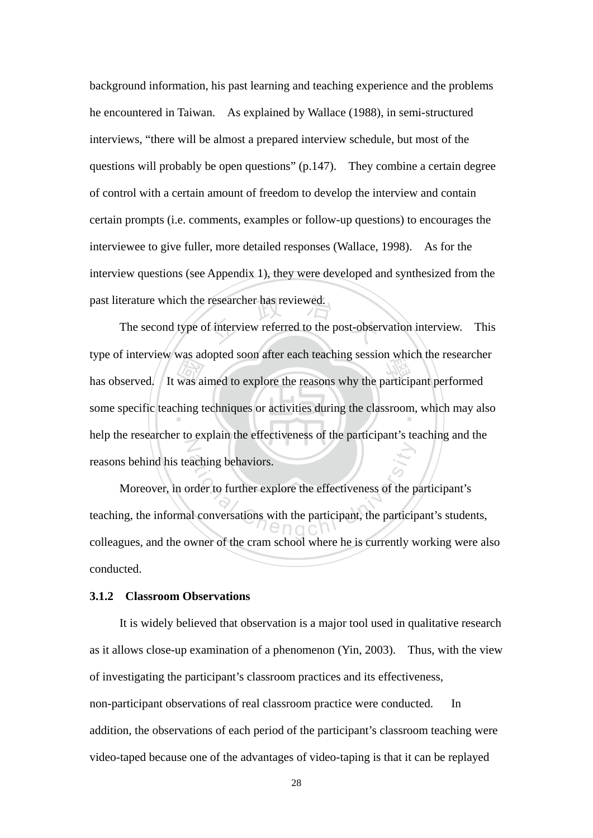background information, his past learning and teaching experience and the problems he encountered in Taiwan. As explained by Wallace (1988), in semi-structured interviews, "there will be almost a prepared interview schedule, but most of the questions will probably be open questions" (p.147). They combine a certain degree of control with a certain amount of freedom to develop the interview and contain certain prompts (i.e. comments, examples or follow-up questions) to encourages the interviewee to give fuller, more detailed responses (Wallace, 1998). As for the interview questions (see Appendix 1), they were developed and synthesized from the past literature which the researcher has reviewed.

type of line view was adopted soon after each teaching session which the researche<br>has observed. It was aimed to explore the reasons why the participant performed<br>some specific teaching techniques or activities during the researcher has reviewed.<br>
f interview referred to the post-obser some specific teaching techniques or activities during the classroom, which may also N The second type of interview referred to the post-observation interview. This type of interview was adopted soon after each teaching session which the researcher help the researcher to explain the effectiveness of the participant's teaching and the reasons behind his teaching behaviors.

aching behaviors. Moreover, in order to further explore the effectiveness of the participant's teaching, the informal conversations with the participant, the participant's students, colleagues, and the owner of the cram school where he is currently working were also conducted.

## **3.1.2 Classroom Observations**

It is widely believed that observation is a major tool used in qualitative research as it allows close-up examination of a phenomenon (Yin, 2003). Thus, with the view of investigating the participant's classroom practices and its effectiveness, non-participant observations of real classroom practice were conducted. In addition, the observations of each period of the participant's classroom teaching were video-taped because one of the advantages of video-taping is that it can be replayed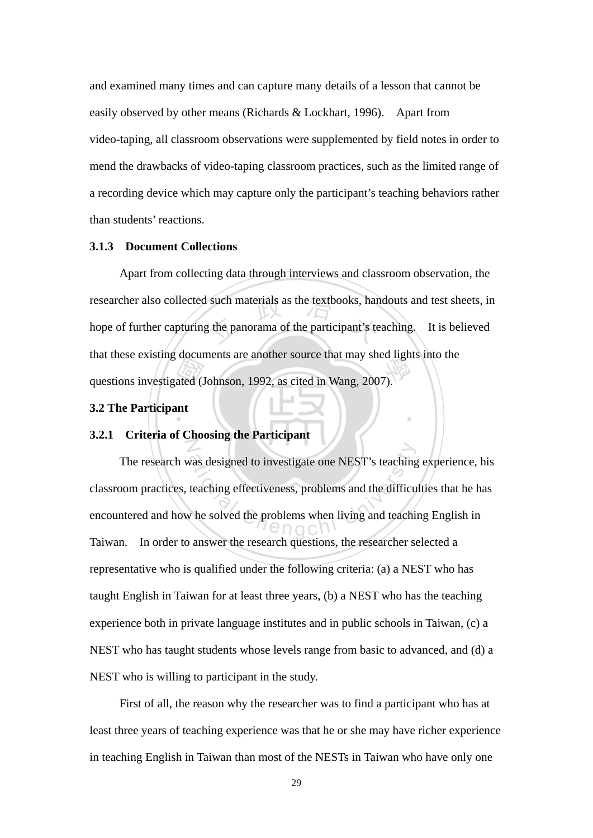and examined many times and can capture many details of a lesson that cannot be easily observed by other means (Richards & Lockhart, 1996). Apart from video-taping, all classroom observations were supplemented by field notes in order to mend the drawbacks of video-taping classroom practices, such as the limited range of a recording device which may capture only the participant's teaching behaviors rather than students' reactions.

# **3.1.3 Document Collections**

about<br>ated (J<br>ant researcher also collected such materials as the textbooks, handouts and test sheets, in<br>hope of further capturing the panorama of the participant's teaching. It is believed that these existing documents are another source that may shed lights into the questions investigated (Johnson, 1992, as cited in Wang, 2007). Apart from collecting data through interviews and classroom observation, the hope of further capturing the panorama of the participant's teaching. It is believed questions investigated (Johnson, 1992, as cited in Wang, 2007).

‧

## **3.2 The Participant**

#### Z **3.2.1 Criteria of Choosing the Participant**

was designed to investigate one NEST's teaching<br>teaching effectiveness, problems and the difficu<br>v he solved the problems when living and teachi The research was designed to investigate one NEST's teaching experience, his classroom practices, teaching effectiveness, problems and the difficulties that he has encountered and how he solved the problems when living and teaching English in Taiwan. In order to answer the research questions, the researcher selected a representative who is qualified under the following criteria: (a) a NEST who has taught English in Taiwan for at least three years, (b) a NEST who has the teaching experience both in private language institutes and in public schools in Taiwan, (c) a NEST who has taught students whose levels range from basic to advanced, and (d) a NEST who is willing to participant in the study.

First of all, the reason why the researcher was to find a participant who has at least three years of teaching experience was that he or she may have richer experience in teaching English in Taiwan than most of the NESTs in Taiwan who have only one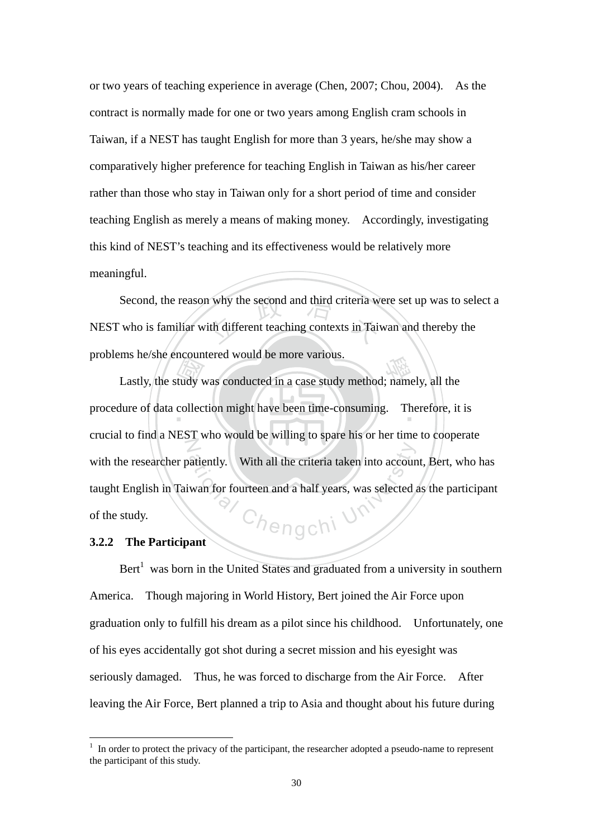or two years of teaching experience in average (Chen, 2007; Chou, 2004). As the contract is normally made for one or two years among English cram schools in Taiwan, if a NEST has taught English for more than 3 years, he/she may show a comparatively higher preference for teaching English in Taiwan as his/her career rather than those who stay in Taiwan only for a short period of time and consider teaching English as merely a means of making money. Accordingly, investigating this kind of NEST's teaching and its effectiveness would be relatively more meaningful.

why the second and third criteria with different teaching contexts in Tai Second, the reason why the second and third criteria were set up was to select a NEST who is familiar with different teaching contexts in Taiwan and thereby the problems he/she encountered would be more various.

Eventually<br>collected Ins ne/she encountered would be more various.<br>Lastly, the study was conducted in a case study method; namely, all the procedure of data collection might have been time-consuming. Therefore, it is Z  $c_{\textit{hengchi}}$  U crucial to find a NEST who would be willing to spare his or her time to cooperate with the researcher patiently. With all the criteria taken into account, Bert, who has taught English in Taiwan for fourteen and a half years, was selected as the participant of the study.

## **3.2.2 The Participant**

<u>.</u>

Bert<sup>1</sup> was born in the United States and graduated from a university in southern America. Though majoring in World History, Bert joined the Air Force upon graduation only to fulfill his dream as a pilot since his childhood. Unfortunately, one of his eyes accidentally got shot during a secret mission and his eyesight was seriously damaged. Thus, he was forced to discharge from the Air Force. After leaving the Air Force, Bert planned a trip to Asia and thought about his future during

<sup>1</sup> In order to protect the privacy of the participant, the researcher adopted a pseudo-name to represent the participant of this study.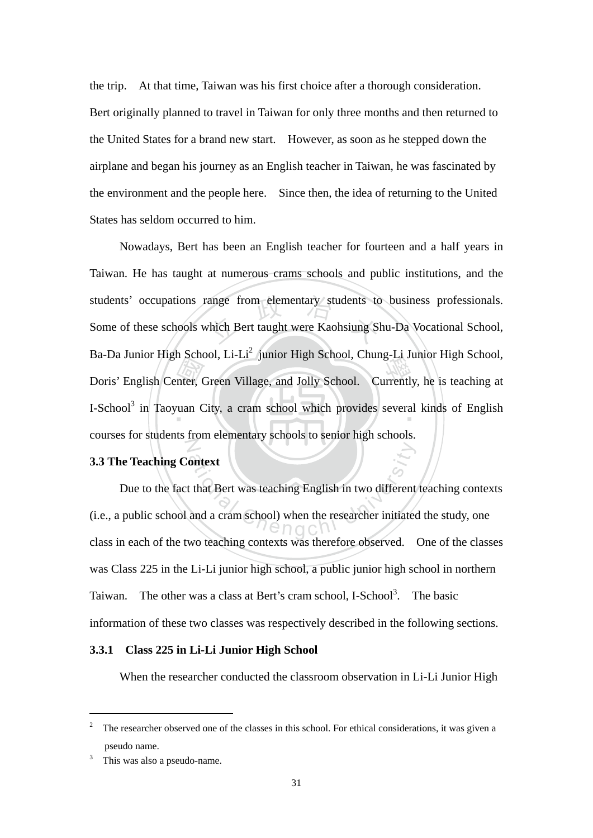the trip. At that time, Taiwan was his first choice after a thorough consideration. Bert originally planned to travel in Taiwan for only three months and then returned to the United States for a brand new start. However, as soon as he stepped down the airplane and began his journey as an English teacher in Taiwan, he was fascinated by the environment and the people here. Since then, the idea of returning to the United States has seldom occurred to him.

m Bend<br>
mter, C students' occupations range from elementary students to business professionals.<br>Some of these schools which Bert taught were Kaohsiung Shu-Da Vocational School, Ba-Da Julilot Tilgh School, El-Li Julilot Tilgh School, Chung-El Julilot Tilgh School,<br>Doris' English Center, Green Village, and Jolly School. Currently, he is teaching at I-School<sup>3</sup> in Taoyuan City, a cram school which provides several kinds of English N Nowadays, Bert has been an English teacher for fourteen and a half years in Taiwan. He has taught at numerous crams schools and public institutions, and the Some of these schools which Bert taught were Kaohsiung Shu-Da Vocational School, Ba-Da Junior High School, Li-Li<sup>2</sup> junior High School, Chung-Li Junior High School, courses for students from elementary schools to senior high schools.

## **3.3 The Teaching Context**

ontext<br>
t that Bert was teaching English in two different<br>
and a cram school) when the researcher initiated<br>  $\bigcap_{i=1}^{\infty} G_i$ Due to the fact that Bert was teaching English in two different teaching contexts (i.e., a public school and a cram school) when the researcher initiated the study, one class in each of the two teaching contexts was therefore observed. One of the classes was Class 225 in the Li-Li junior high school, a public junior high school in northern Taiwan. The other was a class at Bert's cram school, I-School<sup>3</sup>. The basic information of these two classes was respectively described in the following sections.

#### **3.3.1 Class 225 in Li-Li Junior High School**

When the researcher conducted the classroom observation in Li-Li Junior High

<sup>2</sup> The researcher observed one of the classes in this school. For ethical considerations, it was given a pseudo name.

<sup>3</sup> This was also a pseudo-name.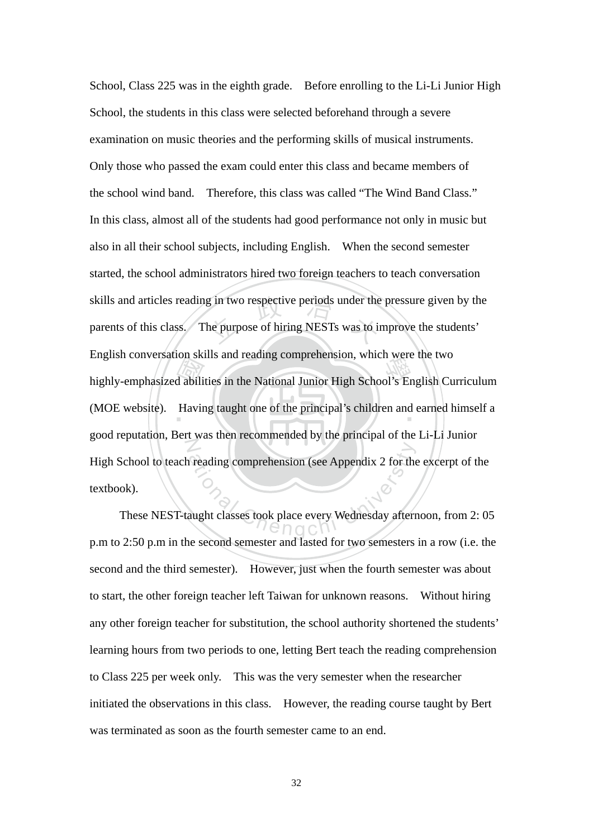English conversation skins and reading comprehension, which were the two<br>highly-emphasized abilities in the National Junior High School's English Curriculum<br>(MOE website). Having taught one of the principal's children and skills and articles reading in two respective periods under the pressure given by the parents of this class. The purpose of hiring NESTs was to improve the students' (MOE website). Having taught one of the principal's children and earned himself a N Freading comprehension (see Appendix 2 for the<br>aught classes took place every Wednesday aftern School, Class 225 was in the eighth grade. Before enrolling to the Li-Li Junior High School, the students in this class were selected beforehand through a severe examination on music theories and the performing skills of musical instruments. Only those who passed the exam could enter this class and became members of the school wind band. Therefore, this class was called "The Wind Band Class." In this class, almost all of the students had good performance not only in music but also in all their school subjects, including English. When the second semester started, the school administrators hired two foreign teachers to teach conversation parents of this class. The purpose of hiring NESTs was to improve the students' English conversation skills and reading comprehension, which were the two good reputation, Bert was then recommended by the principal of the Li-Li Junior High School to teach reading comprehension (see Appendix 2 for the excerpt of the textbook).

These NEST-taught classes took place every Wednesday afternoon, from 2: 05 p.m to 2:50 p.m in the second semester and lasted for two semesters in a row (i.e. the second and the third semester). However, just when the fourth semester was about to start, the other foreign teacher left Taiwan for unknown reasons. Without hiring any other foreign teacher for substitution, the school authority shortened the students' learning hours from two periods to one, letting Bert teach the reading comprehension to Class 225 per week only. This was the very semester when the researcher initiated the observations in this class. However, the reading course taught by Bert was terminated as soon as the fourth semester came to an end.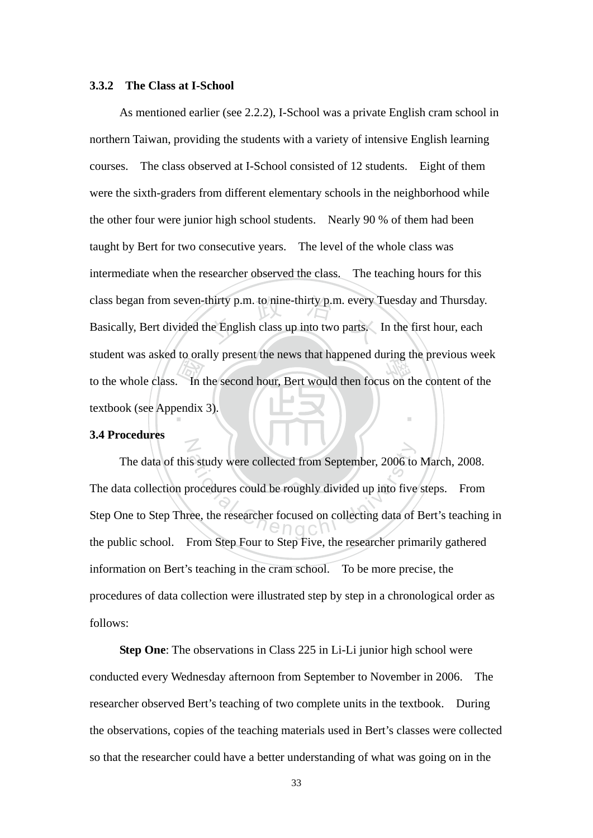#### **3.3.2 The Class at I-School**

 $\frac{1}{\sqrt{2}}$ <br>endix class began from seven-thirty p.m. to nine-thirty p.m. every Tuesday and Thursday.<br>Basically, Bert divided the English class up into two parts. In the first hour, each student was asked to orany present the news that happened during the previous week<br>to the whole class. In the second hour, Bert would then focus on the content of the ‧ As mentioned earlier (see 2.2.2), I-School was a private English cram school in northern Taiwan, providing the students with a variety of intensive English learning courses. The class observed at I-School consisted of 12 students. Eight of them were the sixth-graders from different elementary schools in the neighborhood while the other four were junior high school students. Nearly 90 % of them had been taught by Bert for two consecutive years. The level of the whole class was intermediate when the researcher observed the class. The teaching hours for this Basically, Bert divided the English class up into two parts. In the first hour, each student was asked to orally present the news that happened during the previous week textbook (see Appendix 3).

#### **3.4 Procedures**

N

is study were collected from September, 2006 to<br>procedures could be roughly divided up into five<br>ree, the researcher focused on collecting data of The data of this study were collected from September, 2006 to March, 2008. The data collection procedures could be roughly divided up into five steps. From Step One to Step Three, the researcher focused on collecting data of Bert's teaching in the public school. From Step Four to Step Five, the researcher primarily gathered information on Bert's teaching in the cram school. To be more precise, the procedures of data collection were illustrated step by step in a chronological order as follows:

**Step One**: The observations in Class 225 in Li-Li junior high school were conducted every Wednesday afternoon from September to November in 2006. The researcher observed Bert's teaching of two complete units in the textbook. During the observations, copies of the teaching materials used in Bert's classes were collected so that the researcher could have a better understanding of what was going on in the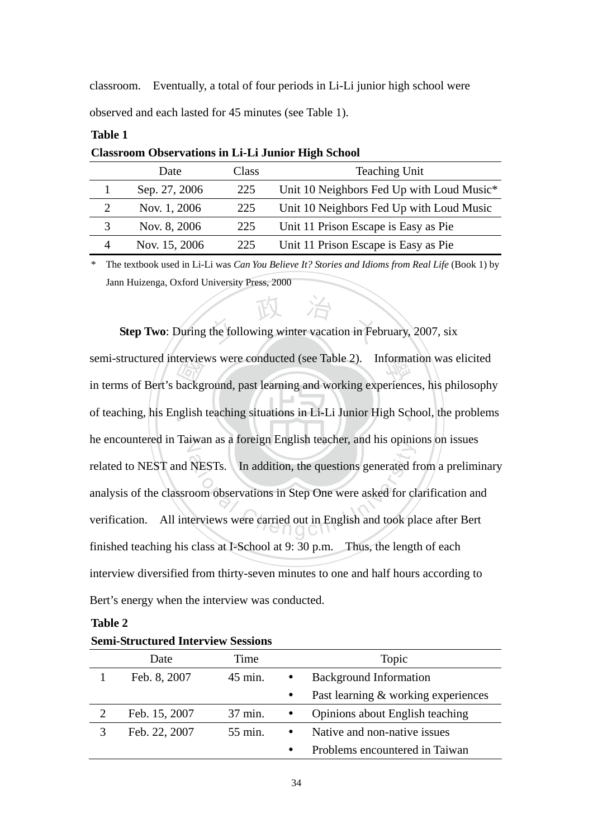classroom. Eventually, a total of four periods in Li-Li junior high school were observed and each lasted for 45 minutes (see Table 1).

| Chassi com Observations in El El Junior migh Senocr |               |       |                                           |  |
|-----------------------------------------------------|---------------|-------|-------------------------------------------|--|
|                                                     | Date          | Class | <b>Teaching Unit</b>                      |  |
|                                                     | Sep. 27, 2006 | 225   | Unit 10 Neighbors Fed Up with Loud Music* |  |
|                                                     | Nov. 1, 2006  | 225   | Unit 10 Neighbors Fed Up with Loud Music  |  |
|                                                     | Nov. 8, 2006  | 225   | Unit 11 Prison Escape is Easy as Pie      |  |
|                                                     | Nov. 15, 2006 | 225   | Unit 11 Prison Escape is Easy as Pie      |  |
|                                                     |               |       |                                           |  |

**Classroom Observations in Li-Li Junior High School** 

\* The textbook used in Li-Li was *Can You Believe It? Stories and Idioms from Real Life* (Book 1) by Jann Huizenga, Oxford University Press, 2000

**Step Two**: During the following winter vacation in February, 2007, six

‧tervie<br>backg<br>nglish semi-structured interviews were conducted (see Table 2). Information was elicited<br>in terms of Partia hadroneed next learning and weaking arraninges, his philosophy of teaching, his English teaching situations in Li-Li Junior High School, the problems he encountered in Taiwan as a foreign English teacher, and his opinions on issues NESTs. In addition, the questions generated from the spherical chemical chemical components in Step One were asked for chemical chemical chemical chemical chemical chemical chemical chemical chemical chemical chemical chem in terms of Bert's background, past learning and working experiences, his philosophy related to NEST and NESTs. In addition, the questions generated from a preliminary analysis of the classroom observations in Step One were asked for clarification and verification. All interviews were carried out in English and took place after Bert finished teaching his class at I-School at 9: 30 p.m. Thus, the length of each interview diversified from thirty-seven minutes to one and half hours according to Bert's energy when the interview was conducted.

| וחו<br>n |  |
|----------|--|
|----------|--|

**Table 1** 

| Denn Du ucturen hitter (it webbrond |               |         |           |                                     |
|-------------------------------------|---------------|---------|-----------|-------------------------------------|
|                                     | Date          | Time    |           | Topic                               |
|                                     | Feb. 8, 2007  | 45 min. |           | <b>Background Information</b>       |
|                                     |               |         | $\bullet$ | Past learning & working experiences |
| 2                                   | Feb. 15, 2007 | 37 min. |           | Opinions about English teaching     |
|                                     | Feb. 22, 2007 | 55 min. |           | Native and non-native issues        |
|                                     |               |         | $\bullet$ | Problems encountered in Taiwan      |

**Semi-Structured Interview Sessions**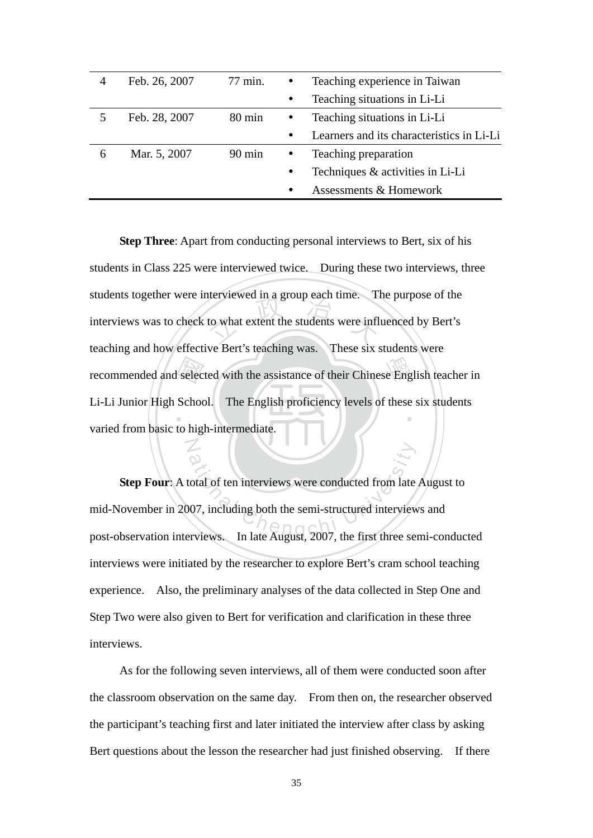| 4 | Feb. 26, 2007 | 77 min.          |           | Teaching experience in Taiwan             |
|---|---------------|------------------|-----------|-------------------------------------------|
|   |               |                  | $\bullet$ | Teaching situations in Li-Li              |
|   | Feb. 28, 2007 | 80 min           |           | Teaching situations in Li-Li              |
|   |               |                  | $\bullet$ | Learners and its characteristics in Li-Li |
| 6 | Mar. 5, 2007  | $90 \text{ min}$ | $\bullet$ | Teaching preparation                      |
|   |               |                  | $\bullet$ | Techniques & activities in Li-Li          |
|   |               |                  | $\bullet$ | Assessments & Homework                    |

selection<br>School the the students were infl<br>to what extent the students were infl recommended and selected with the assistance of their Chinese English teacher in ‧ **Step Three**: Apart from conducting personal interviews to Bert, six of his students in Class 225 were interviewed twice. During these two interviews, three students together were interviewed in a group each time. The purpose of the interviews was to check to what extent the students were influenced by Bert's teaching and how effective Bert's teaching was. These six students were Li-Li Junior High School. The English proficiency levels of these six students varied from basic to high-intermediate.

ational of ten interviews were conducted from late<br>ation is the semi-structured interview<br>erviews. In late August, 2007, the first three set **Step Four**: A total of ten interviews were conducted from late August to mid-November in 2007, including both the semi-structured interviews and post-observation interviews. In late August, 2007, the first three semi-conducted interviews were initiated by the researcher to explore Bert's cram school teaching experience. Also, the preliminary analyses of the data collected in Step One and Step Two were also given to Bert for verification and clarification in these three interviews.

N

As for the following seven interviews, all of them were conducted soon after the classroom observation on the same day. From then on, the researcher observed the participant's teaching first and later initiated the interview after class by asking Bert questions about the lesson the researcher had just finished observing. If there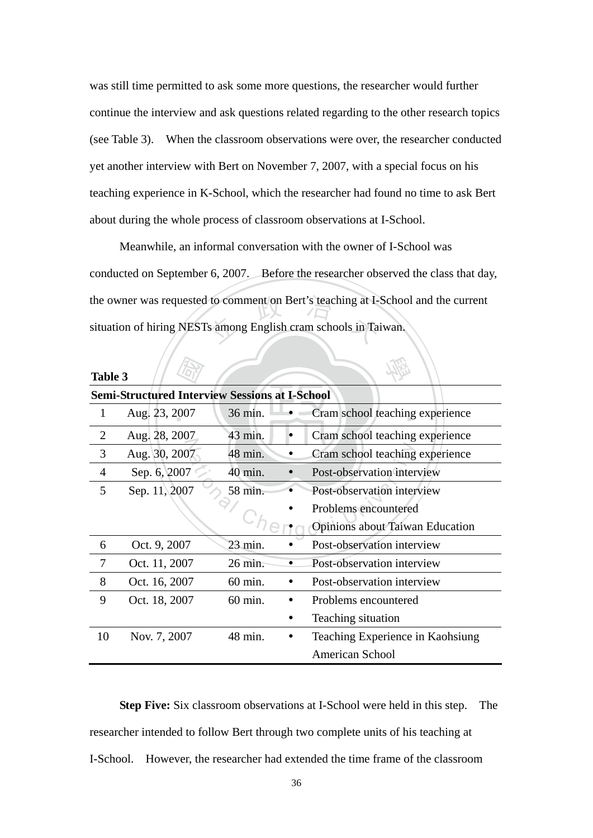was still time permitted to ask some more questions, the researcher would further continue the interview and ask questions related regarding to the other research topics (see Table 3). When the classroom observations were over, the researcher conducted yet another interview with Bert on November 7, 2007, with a special focus on his teaching experience in K-School, which the researcher had found no time to ask Bert about during the whole process of classroom observations at I-School.

to comment on Bert's teaching at I-Meanwhile, an informal conversation with the owner of I-School was conducted on September 6, 2007. Before the researcher observed the class that day, the owner was requested to comment on Bert's teaching at I-School and the current situation of hiring NESTs among English cram schools in Taiwan.

| Table 3        |                                                       |         |  |                                  |  |  |  |
|----------------|-------------------------------------------------------|---------|--|----------------------------------|--|--|--|
|                | <b>Semi-Structured Interview Sessions at I-School</b> |         |  |                                  |  |  |  |
| 1              | Aug. 23, 2007                                         | 36 min. |  | Cram school teaching experience  |  |  |  |
| 2              | Aug. 28, 2007                                         | 43 min. |  | Cram school teaching experience  |  |  |  |
| 3              | Aug. 30, 2007                                         | 48 min. |  | Cram school teaching experience  |  |  |  |
| $\overline{4}$ | Sep. 6, 2007                                          | 40 min. |  | Post-observation interview       |  |  |  |
| 5              | Sep. 11, 2007                                         | 58 min. |  | Post-observation interview       |  |  |  |
|                |                                                       |         |  | Problems encountered             |  |  |  |
|                |                                                       |         |  | Opinions about Taiwan Education  |  |  |  |
| 6              | Oct. 9, 2007                                          | 23 min. |  | Post-observation interview       |  |  |  |
| 7              | Oct. 11, 2007                                         | 26 min. |  | Post-observation interview       |  |  |  |
| 8              | Oct. 16, 2007                                         | 60 min. |  | Post-observation interview       |  |  |  |
| 9              | Oct. 18, 2007                                         | 60 min. |  | Problems encountered             |  |  |  |
|                |                                                       |         |  | Teaching situation               |  |  |  |
| 10             | Nov. 7, 2007                                          | 48 min. |  | Teaching Experience in Kaohsiung |  |  |  |
|                |                                                       |         |  | <b>American School</b>           |  |  |  |

**Step Five:** Six classroom observations at I-School were held in this step. The researcher intended to follow Bert through two complete units of his teaching at I-School. However, the researcher had extended the time frame of the classroom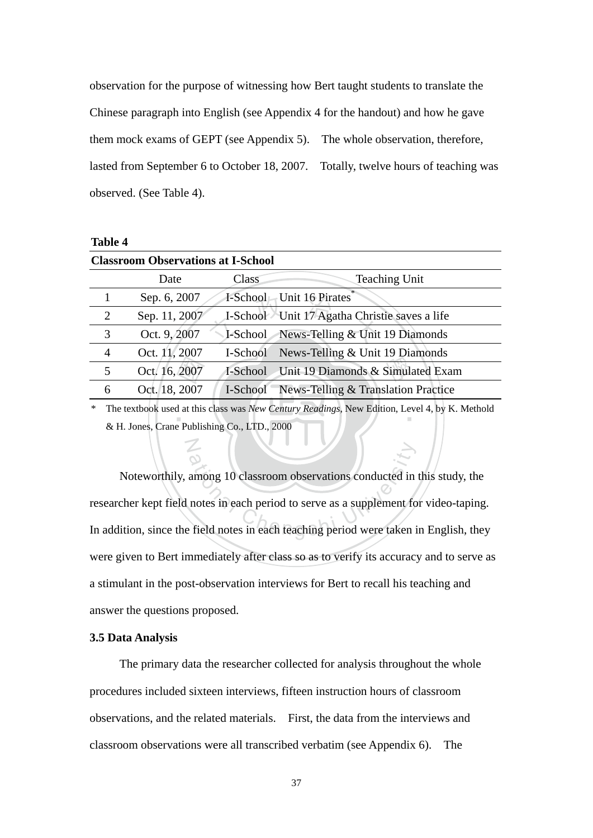observation for the purpose of witnessing how Bert taught students to translate the Chinese paragraph into English (see Appendix 4 for the handout) and how he gave them mock exams of GEPT (see Appendix 5). The whole observation, therefore, lasted from September 6 to October 18, 2007. Totally, twelve hours of teaching was observed. (See Table 4).

| <b>Table 4</b> |
|----------------|
|----------------|

|                                              | <b>Classroom Observations at I-School</b> |               |          |                                                                                               |  |  |
|----------------------------------------------|-------------------------------------------|---------------|----------|-----------------------------------------------------------------------------------------------|--|--|
|                                              |                                           | Date          | Class    | <b>Teaching Unit</b>                                                                          |  |  |
|                                              |                                           | Sep. 6, 2007  |          | I-School Unit 16 Pirates                                                                      |  |  |
|                                              | 2                                         | Sep. 11, 2007 |          | I-School Unit 17 Agatha Christie saves a life                                                 |  |  |
|                                              | 3                                         | Oct. 9, 2007  |          | <b>I-School</b> News-Telling & Unit 19 Diamonds                                               |  |  |
|                                              | $\overline{4}$                            | Oct. 11, 2007 | I-School | News-Telling & Unit 19 Diamonds                                                               |  |  |
|                                              | 5                                         | Oct. 16, 2007 |          | I-School Unit 19 Diamonds & Simulated Exam                                                    |  |  |
|                                              | 6                                         | Oct. 18, 2007 |          | <b>I-School</b> News-Telling & Translation Practice                                           |  |  |
| ∗                                            |                                           |               |          | The textbook used at this class was New Century Readings, New Edition, Level 4, by K. Methold |  |  |
| & H. Jones, Crane Publishing Co., LTD., 2000 |                                           |               |          |                                                                                               |  |  |

among 10 classroom observations conducted in<br>notes in each period to serve as a supplement for<br>field notes in each teaching period were taken is Noteworthily, among 10 classroom observations conducted in this study, the researcher kept field notes in each period to serve as a supplement for video-taping. In addition, since the field notes in each teaching period were taken in English, they were given to Bert immediately after class so as to verify its accuracy and to serve as a stimulant in the post-observation interviews for Bert to recall his teaching and answer the questions proposed.

#### **3.5 Data Analysis**

N

The primary data the researcher collected for analysis throughout the whole procedures included sixteen interviews, fifteen instruction hours of classroom observations, and the related materials. First, the data from the interviews and classroom observations were all transcribed verbatim (see Appendix 6). The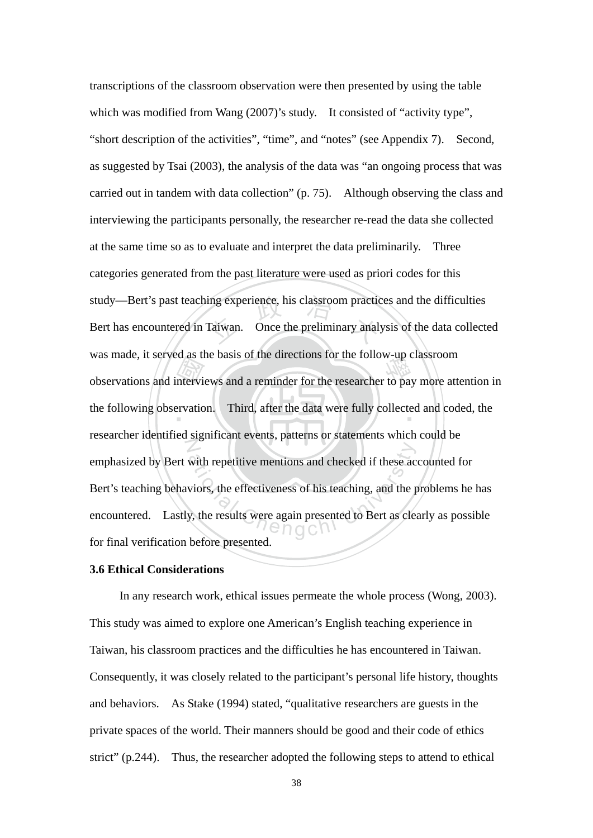de as de study—Bert's past teaching experience, his classroom practices and the difficulties<br>Bert has encountered in Taiwan. Once the preliminary analysis of the data collecte was made, it set year as the basis of the directions for the follow-up classroom<br>observations and interviews and a reminder for the researcher to pay more attention in the following observation. Third, after the data were fully collected and coded, the N with repetitive mentions and checked if these accusions, the effectiveness of his teaching, and the p<br>y, the results were again presented to Bert as cleently and the p<br> $\cap$  O C  $\cap$ transcriptions of the classroom observation were then presented by using the table which was modified from Wang (2007)'s study. It consisted of "activity type", "short description of the activities", "time", and "notes" (see Appendix 7). Second, as suggested by Tsai (2003), the analysis of the data was "an ongoing process that was carried out in tandem with data collection" (p. 75). Although observing the class and interviewing the participants personally, the researcher re-read the data she collected at the same time so as to evaluate and interpret the data preliminarily. Three categories generated from the past literature were used as priori codes for this Bert has encountered in Taiwan. Once the preliminary analysis of the data collected was made, it served as the basis of the directions for the follow-up classroom researcher identified significant events, patterns or statements which could be emphasized by Bert with repetitive mentions and checked if these accounted for Bert's teaching behaviors, the effectiveness of his teaching, and the problems he has encountered. Lastly, the results were again presented to Bert as clearly as possible for final verification before presented.

#### **3.6 Ethical Considerations**

In any research work, ethical issues permeate the whole process (Wong, 2003). This study was aimed to explore one American's English teaching experience in Taiwan, his classroom practices and the difficulties he has encountered in Taiwan. Consequently, it was closely related to the participant's personal life history, thoughts and behaviors. As Stake (1994) stated, "qualitative researchers are guests in the private spaces of the world. Their manners should be good and their code of ethics strict" (p.244). Thus, the researcher adopted the following steps to attend to ethical